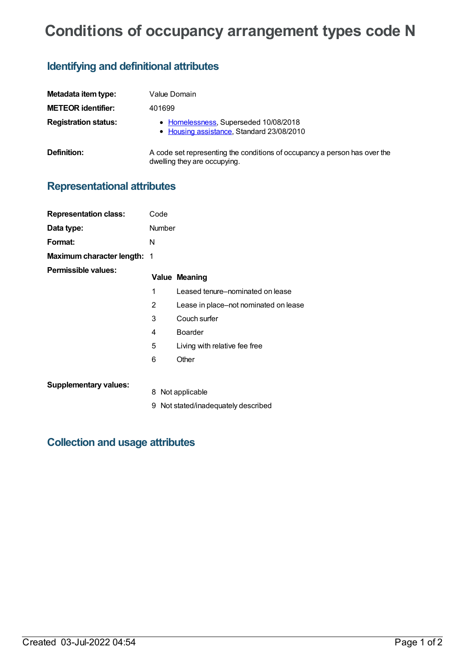# **Conditions of occupancy arrangement types code N**

## **Identifying and definitional attributes**

| Metadata item type:         | Value Domain                                                                                              |
|-----------------------------|-----------------------------------------------------------------------------------------------------------|
| <b>METEOR identifier:</b>   | 401699                                                                                                    |
| <b>Registration status:</b> | • Homelessness, Superseded 10/08/2018<br>• Housing assistance, Standard 23/08/2010                        |
| <b>Definition:</b>          | A code set representing the conditions of occupancy a person has over the<br>dwelling they are occupying. |

## **Representational attributes**

| <b>Representation class:</b>       | Code   |                                       |
|------------------------------------|--------|---------------------------------------|
| Data type:                         | Number |                                       |
| Format:                            | N      |                                       |
| <b>Maximum character length: 1</b> |        |                                       |
| Permissible values:                |        | <b>Value Meaning</b>                  |
|                                    | 1      | Leased tenure-nominated on lease      |
|                                    | 2      | Lease in place-not nominated on lease |
|                                    | 3      | Couch surfer                          |
|                                    | 4      | <b>Boarder</b>                        |
|                                    | 5      | Living with relative fee free         |
|                                    | 6      | Other                                 |
| <b>Supplementary values:</b>       |        |                                       |
|                                    | 8      | Not applicable                        |
|                                    | 9      | Not stated/inadequately described     |

#### **Collection and usage attributes**